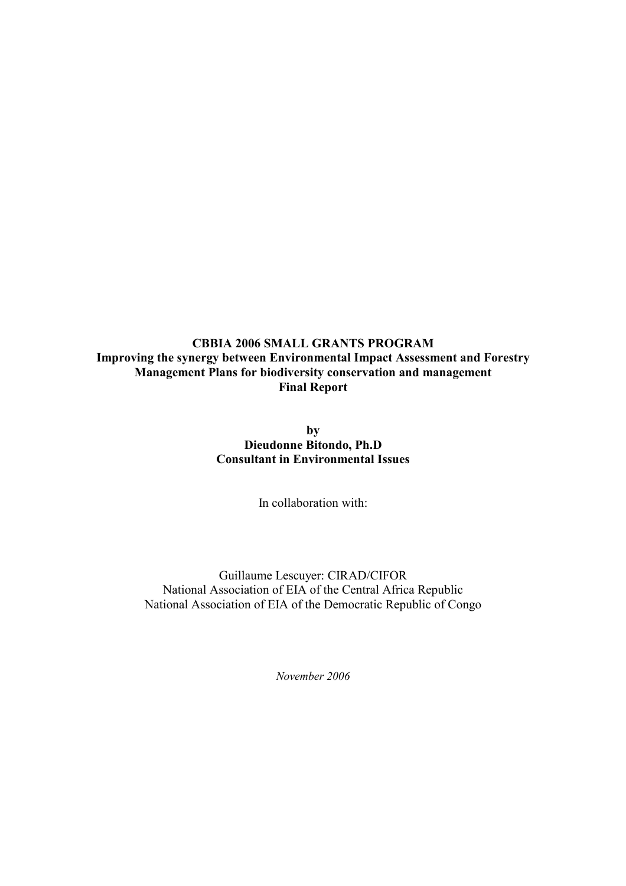### CBBIA 2006 SMALL GRANTS PROGRAM Improving the synergy between Environmental Impact Assessment and Forestry Management Plans for biodiversity conservation and management Final Report

by Dieudonne Bitondo, Ph.D Consultant in Environmental Issues

In collaboration with:

Guillaume Lescuyer: CIRAD/CIFOR National Association of EIA of the Central Africa Republic National Association of EIA of the Democratic Republic of Congo

November 2006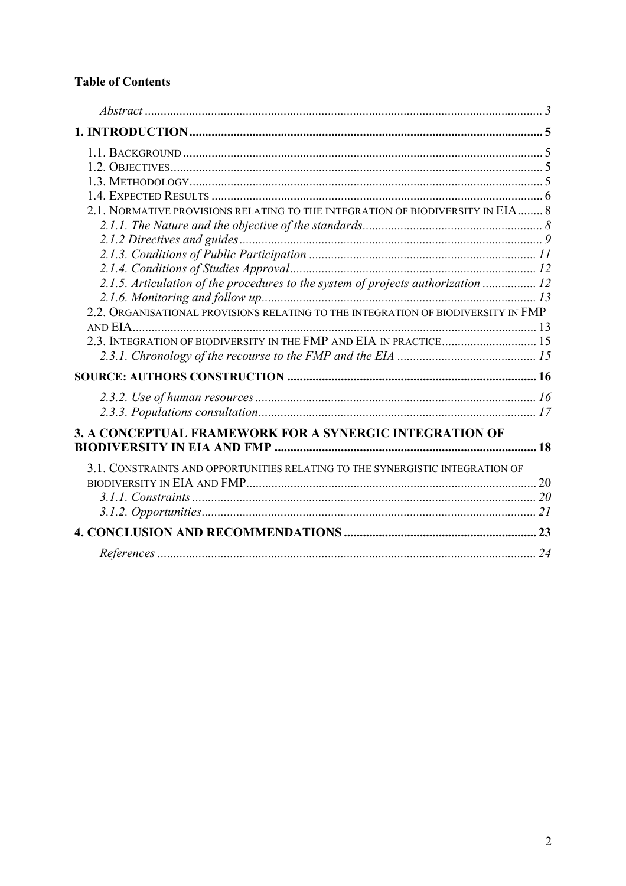# **Table of Contents**

| 2.1. NORMATIVE PROVISIONS RELATING TO THE INTEGRATION OF BIODIVERSITY IN EIA 8    |  |
|-----------------------------------------------------------------------------------|--|
|                                                                                   |  |
|                                                                                   |  |
|                                                                                   |  |
|                                                                                   |  |
| 2.1.5. Articulation of the procedures to the system of projects authorization  12 |  |
|                                                                                   |  |
| 2.2. ORGANISATIONAL PROVISIONS RELATING TO THE INTEGRATION OF BIODIVERSITY IN FMP |  |
|                                                                                   |  |
|                                                                                   |  |
|                                                                                   |  |
|                                                                                   |  |
|                                                                                   |  |
|                                                                                   |  |
| 3. A CONCEPTUAL FRAMEWORK FOR A SYNERGIC INTEGRATION OF                           |  |
|                                                                                   |  |
| 3.1. CONSTRAINTS AND OPPORTUNITIES RELATING TO THE SYNERGISTIC INTEGRATION OF     |  |
|                                                                                   |  |
|                                                                                   |  |
|                                                                                   |  |
|                                                                                   |  |
|                                                                                   |  |
|                                                                                   |  |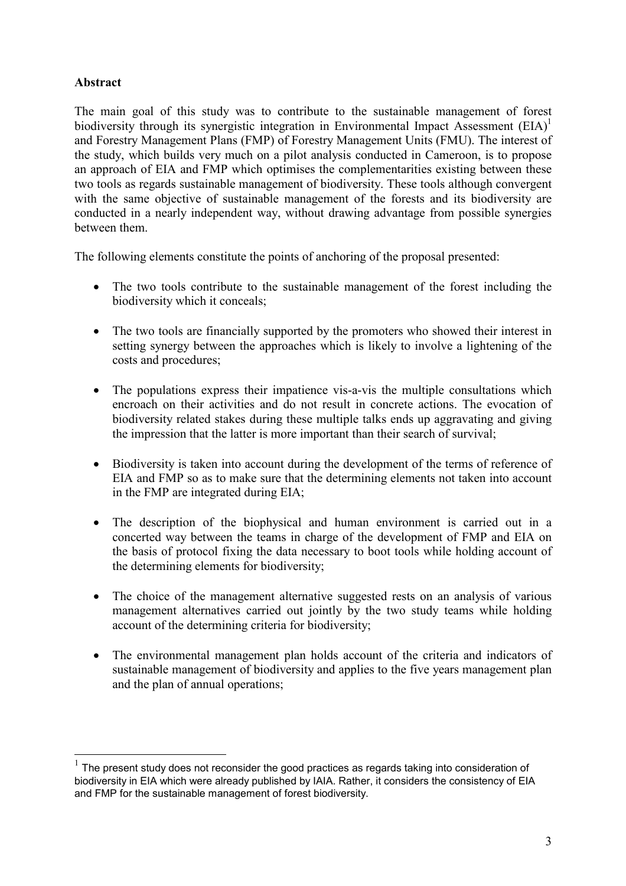# Abstract

 $\overline{a}$ 

The main goal of this study was to contribute to the sustainable management of forest biodiversity through its synergistic integration in Environmental Impact Assessment  $(EIA)^1$ and Forestry Management Plans (FMP) of Forestry Management Units (FMU). The interest of the study, which builds very much on a pilot analysis conducted in Cameroon, is to propose an approach of EIA and FMP which optimises the complementarities existing between these two tools as regards sustainable management of biodiversity. These tools although convergent with the same objective of sustainable management of the forests and its biodiversity are conducted in a nearly independent way, without drawing advantage from possible synergies between them.

The following elements constitute the points of anchoring of the proposal presented:

- The two tools contribute to the sustainable management of the forest including the biodiversity which it conceals;
- The two tools are financially supported by the promoters who showed their interest in setting synergy between the approaches which is likely to involve a lightening of the costs and procedures;
- The populations express their impatience vis-a-vis the multiple consultations which encroach on their activities and do not result in concrete actions. The evocation of biodiversity related stakes during these multiple talks ends up aggravating and giving the impression that the latter is more important than their search of survival;
- Biodiversity is taken into account during the development of the terms of reference of EIA and FMP so as to make sure that the determining elements not taken into account in the FMP are integrated during EIA;
- The description of the biophysical and human environment is carried out in a concerted way between the teams in charge of the development of FMP and EIA on the basis of protocol fixing the data necessary to boot tools while holding account of the determining elements for biodiversity;
- The choice of the management alternative suggested rests on an analysis of various management alternatives carried out jointly by the two study teams while holding account of the determining criteria for biodiversity;
- The environmental management plan holds account of the criteria and indicators of sustainable management of biodiversity and applies to the five years management plan and the plan of annual operations;

 $1$  The present study does not reconsider the good practices as regards taking into consideration of biodiversity in EIA which were already published by IAIA. Rather, it considers the consistency of EIA and FMP for the sustainable management of forest biodiversity.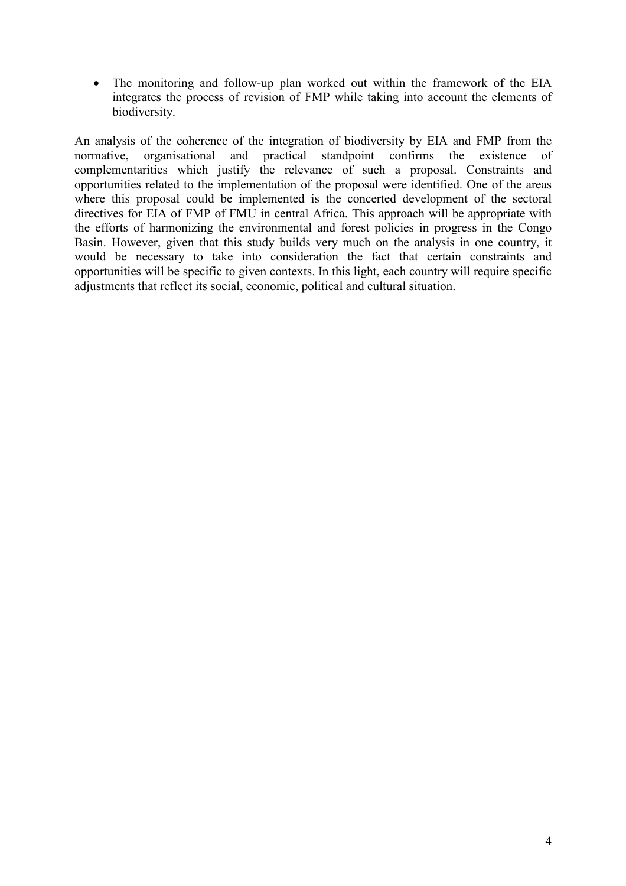• The monitoring and follow-up plan worked out within the framework of the EIA integrates the process of revision of FMP while taking into account the elements of biodiversity.

An analysis of the coherence of the integration of biodiversity by EIA and FMP from the normative, organisational and practical standpoint confirms the existence of complementarities which justify the relevance of such a proposal. Constraints and opportunities related to the implementation of the proposal were identified. One of the areas where this proposal could be implemented is the concerted development of the sectoral directives for EIA of FMP of FMU in central Africa. This approach will be appropriate with the efforts of harmonizing the environmental and forest policies in progress in the Congo Basin. However, given that this study builds very much on the analysis in one country, it would be necessary to take into consideration the fact that certain constraints and opportunities will be specific to given contexts. In this light, each country will require specific adjustments that reflect its social, economic, political and cultural situation.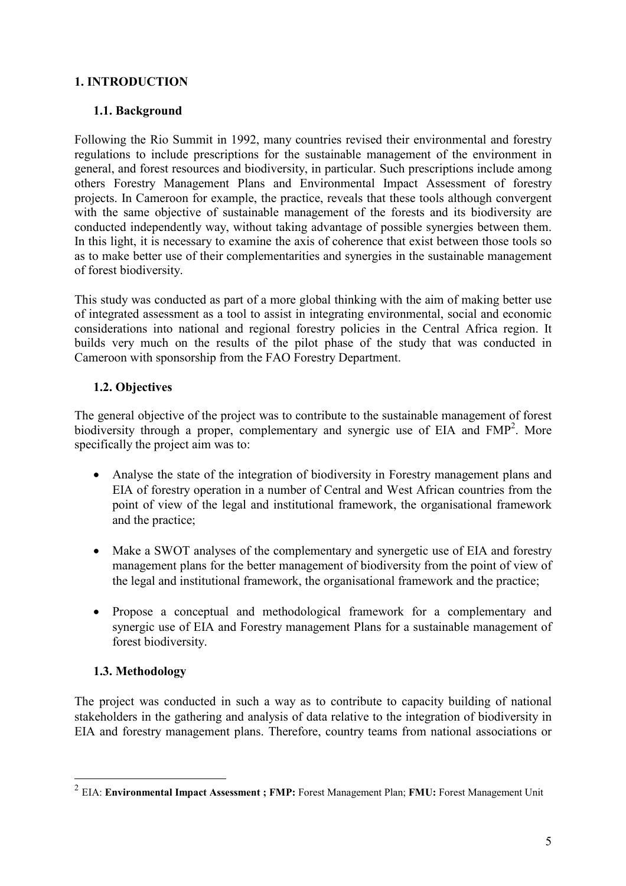# 1. INTRODUCTION

# 1.1. Background

Following the Rio Summit in 1992, many countries revised their environmental and forestry regulations to include prescriptions for the sustainable management of the environment in general, and forest resources and biodiversity, in particular. Such prescriptions include among others Forestry Management Plans and Environmental Impact Assessment of forestry projects. In Cameroon for example, the practice, reveals that these tools although convergent with the same objective of sustainable management of the forests and its biodiversity are conducted independently way, without taking advantage of possible synergies between them. In this light, it is necessary to examine the axis of coherence that exist between those tools so as to make better use of their complementarities and synergies in the sustainable management of forest biodiversity.

This study was conducted as part of a more global thinking with the aim of making better use of integrated assessment as a tool to assist in integrating environmental, social and economic considerations into national and regional forestry policies in the Central Africa region. It builds very much on the results of the pilot phase of the study that was conducted in Cameroon with sponsorship from the FAO Forestry Department.

### 1.2. Objectives

The general objective of the project was to contribute to the sustainable management of forest biodiversity through a proper, complementary and synergic use of EIA and  $FMP<sup>2</sup>$ . More specifically the project aim was to:

- Analyse the state of the integration of biodiversity in Forestry management plans and EIA of forestry operation in a number of Central and West African countries from the point of view of the legal and institutional framework, the organisational framework and the practice;
- Make a SWOT analyses of the complementary and synergetic use of EIA and forestry management plans for the better management of biodiversity from the point of view of the legal and institutional framework, the organisational framework and the practice;
- Propose a conceptual and methodological framework for a complementary and synergic use of EIA and Forestry management Plans for a sustainable management of forest biodiversity.

### 1.3. Methodology

 $\overline{a}$ 

The project was conducted in such a way as to contribute to capacity building of national stakeholders in the gathering and analysis of data relative to the integration of biodiversity in EIA and forestry management plans. Therefore, country teams from national associations or

 $^{2}$  EIA: Environmental Impact Assessment; FMP: Forest Management Plan; FMU: Forest Management Unit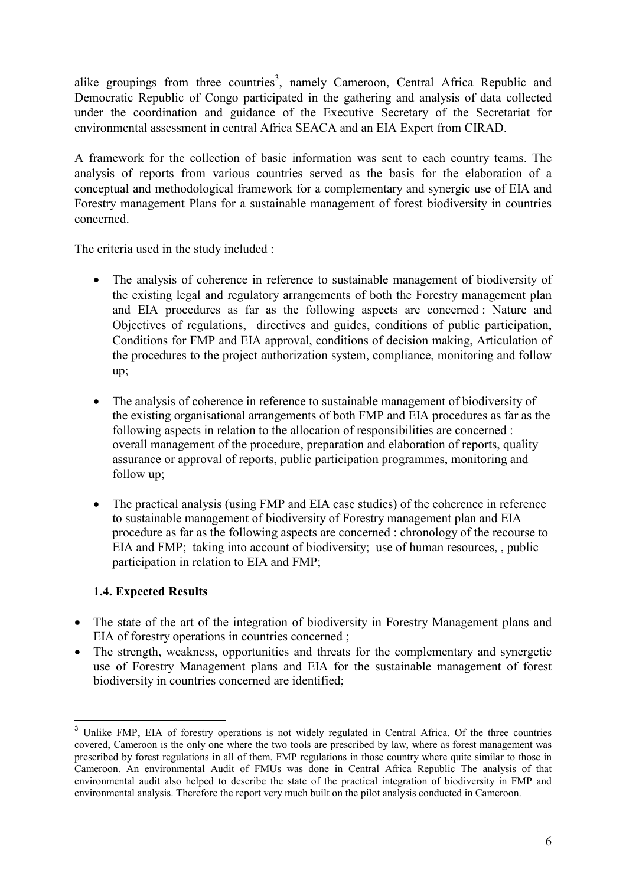alike groupings from three countries<sup>3</sup>, namely Cameroon, Central Africa Republic and Democratic Republic of Congo participated in the gathering and analysis of data collected under the coordination and guidance of the Executive Secretary of the Secretariat for environmental assessment in central Africa SEACA and an EIA Expert from CIRAD.

A framework for the collection of basic information was sent to each country teams. The analysis of reports from various countries served as the basis for the elaboration of a conceptual and methodological framework for a complementary and synergic use of EIA and Forestry management Plans for a sustainable management of forest biodiversity in countries concerned.

The criteria used in the study included :

- The analysis of coherence in reference to sustainable management of biodiversity of the existing legal and regulatory arrangements of both the Forestry management plan and EIA procedures as far as the following aspects are concerned : Nature and Objectives of regulations, directives and guides, conditions of public participation, Conditions for FMP and EIA approval, conditions of decision making, Articulation of the procedures to the project authorization system, compliance, monitoring and follow up;
- The analysis of coherence in reference to sustainable management of biodiversity of the existing organisational arrangements of both FMP and EIA procedures as far as the following aspects in relation to the allocation of responsibilities are concerned : overall management of the procedure, preparation and elaboration of reports, quality assurance or approval of reports, public participation programmes, monitoring and follow up;
- The practical analysis (using FMP and EIA case studies) of the coherence in reference to sustainable management of biodiversity of Forestry management plan and EIA procedure as far as the following aspects are concerned : chronology of the recourse to EIA and FMP; taking into account of biodiversity; use of human resources, , public participation in relation to EIA and FMP;

### 1.4. Expected Results

- The state of the art of the integration of biodiversity in Forestry Management plans and EIA of forestry operations in countries concerned ;
- The strength, weakness, opportunities and threats for the complementary and synergetic use of Forestry Management plans and EIA for the sustainable management of forest biodiversity in countries concerned are identified;

 $\overline{\phantom{a}}$ <sup>3</sup> Unlike FMP, EIA of forestry operations is not widely regulated in Central Africa. Of the three countries covered, Cameroon is the only one where the two tools are prescribed by law, where as forest management was prescribed by forest regulations in all of them. FMP regulations in those country where quite similar to those in Cameroon. An environmental Audit of FMUs was done in Central Africa Republic The analysis of that environmental audit also helped to describe the state of the practical integration of biodiversity in FMP and environmental analysis. Therefore the report very much built on the pilot analysis conducted in Cameroon.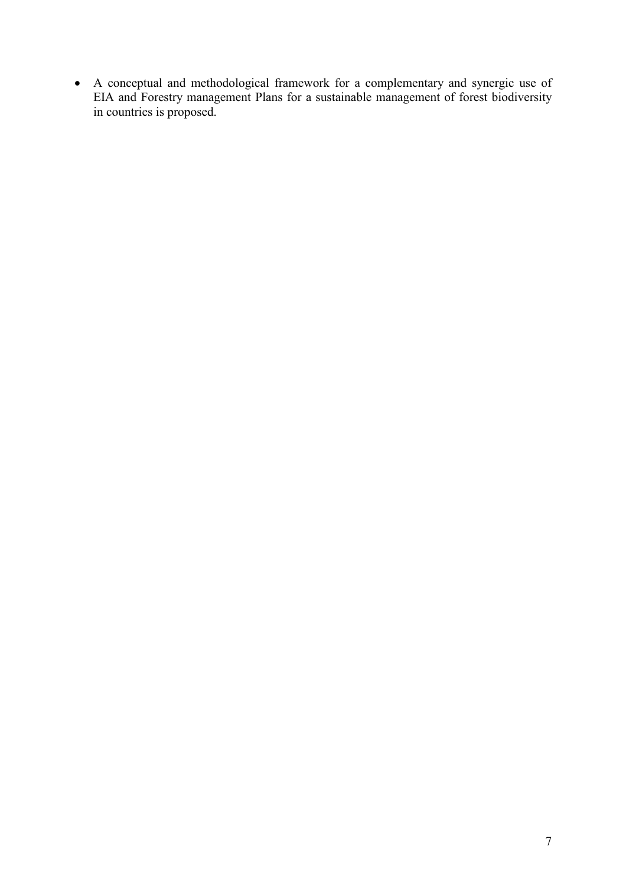• A conceptual and methodological framework for a complementary and synergic use of EIA and Forestry management Plans for a sustainable management of forest biodiversity in countries is proposed.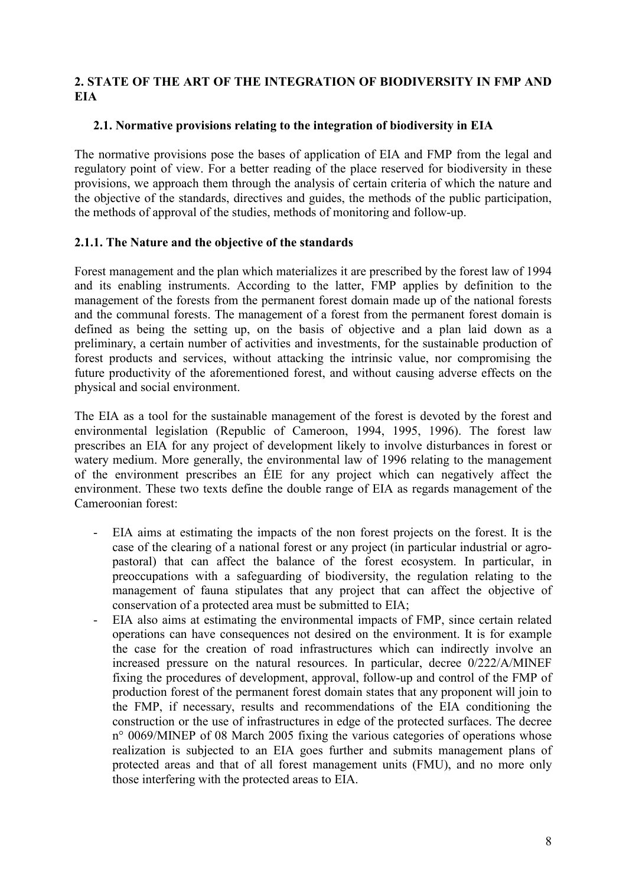# 2. STATE OF THE ART OF THE INTEGRATION OF BIODIVERSITY IN FMP AND **EIA**

### 2.1. Normative provisions relating to the integration of biodiversity in EIA

The normative provisions pose the bases of application of EIA and FMP from the legal and regulatory point of view. For a better reading of the place reserved for biodiversity in these provisions, we approach them through the analysis of certain criteria of which the nature and the objective of the standards, directives and guides, the methods of the public participation, the methods of approval of the studies, methods of monitoring and follow-up.

### 2.1.1. The Nature and the objective of the standards

Forest management and the plan which materializes it are prescribed by the forest law of 1994 and its enabling instruments. According to the latter, FMP applies by definition to the management of the forests from the permanent forest domain made up of the national forests and the communal forests. The management of a forest from the permanent forest domain is defined as being the setting up, on the basis of objective and a plan laid down as a preliminary, a certain number of activities and investments, for the sustainable production of forest products and services, without attacking the intrinsic value, nor compromising the future productivity of the aforementioned forest, and without causing adverse effects on the physical and social environment.

The EIA as a tool for the sustainable management of the forest is devoted by the forest and environmental legislation (Republic of Cameroon, 1994, 1995, 1996). The forest law prescribes an EIA for any project of development likely to involve disturbances in forest or watery medium. More generally, the environmental law of 1996 relating to the management of the environment prescribes an ÉIE for any project which can negatively affect the environment. These two texts define the double range of EIA as regards management of the Cameroonian forest:

- EIA aims at estimating the impacts of the non forest projects on the forest. It is the case of the clearing of a national forest or any project (in particular industrial or agropastoral) that can affect the balance of the forest ecosystem. In particular, in preoccupations with a safeguarding of biodiversity, the regulation relating to the management of fauna stipulates that any project that can affect the objective of conservation of a protected area must be submitted to EIA;
- EIA also aims at estimating the environmental impacts of FMP, since certain related operations can have consequences not desired on the environment. It is for example the case for the creation of road infrastructures which can indirectly involve an increased pressure on the natural resources. In particular, decree 0/222/A/MINEF fixing the procedures of development, approval, follow-up and control of the FMP of production forest of the permanent forest domain states that any proponent will join to the FMP, if necessary, results and recommendations of the EIA conditioning the construction or the use of infrastructures in edge of the protected surfaces. The decree n° 0069/MINEP of 08 March 2005 fixing the various categories of operations whose realization is subjected to an EIA goes further and submits management plans of protected areas and that of all forest management units (FMU), and no more only those interfering with the protected areas to EIA.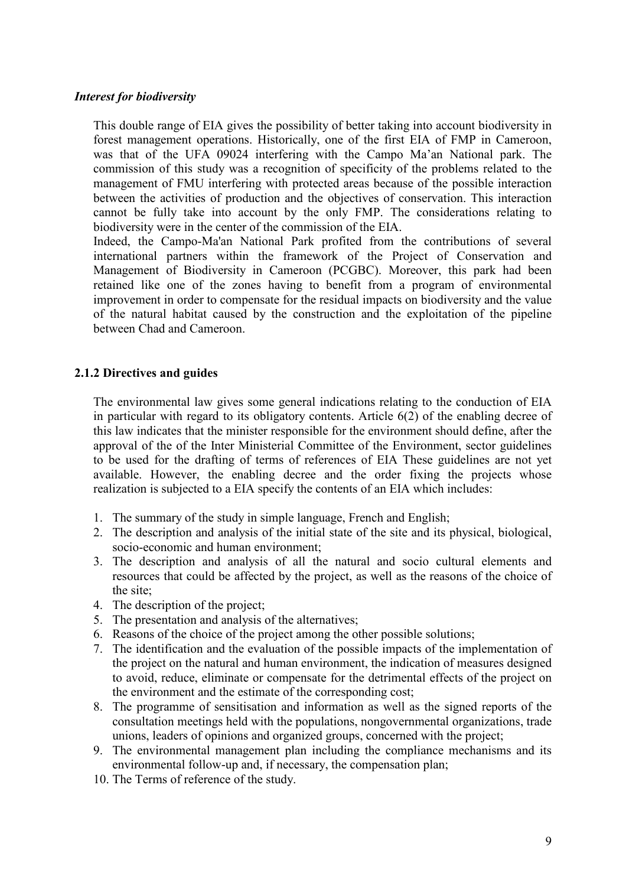#### Interest for biodiversity

This double range of EIA gives the possibility of better taking into account biodiversity in forest management operations. Historically, one of the first EIA of FMP in Cameroon, was that of the UFA 09024 interfering with the Campo Ma'an National park. The commission of this study was a recognition of specificity of the problems related to the management of FMU interfering with protected areas because of the possible interaction between the activities of production and the objectives of conservation. This interaction cannot be fully take into account by the only FMP. The considerations relating to biodiversity were in the center of the commission of the EIA.

Indeed, the Campo-Ma'an National Park profited from the contributions of several international partners within the framework of the Project of Conservation and Management of Biodiversity in Cameroon (PCGBC). Moreover, this park had been retained like one of the zones having to benefit from a program of environmental improvement in order to compensate for the residual impacts on biodiversity and the value of the natural habitat caused by the construction and the exploitation of the pipeline between Chad and Cameroon.

### 2.1.2 Directives and guides

The environmental law gives some general indications relating to the conduction of EIA in particular with regard to its obligatory contents. Article  $6(2)$  of the enabling decree of this law indicates that the minister responsible for the environment should define, after the approval of the of the Inter Ministerial Committee of the Environment, sector guidelines to be used for the drafting of terms of references of EIA These guidelines are not yet available. However, the enabling decree and the order fixing the projects whose realization is subjected to a EIA specify the contents of an EIA which includes:

- 1. The summary of the study in simple language, French and English;
- 2. The description and analysis of the initial state of the site and its physical, biological, socio-economic and human environment;
- 3. The description and analysis of all the natural and socio cultural elements and resources that could be affected by the project, as well as the reasons of the choice of the site;
- 4. The description of the project;
- 5. The presentation and analysis of the alternatives;
- 6. Reasons of the choice of the project among the other possible solutions;
- 7. The identification and the evaluation of the possible impacts of the implementation of the project on the natural and human environment, the indication of measures designed to avoid, reduce, eliminate or compensate for the detrimental effects of the project on the environment and the estimate of the corresponding cost;
- 8. The programme of sensitisation and information as well as the signed reports of the consultation meetings held with the populations, nongovernmental organizations, trade unions, leaders of opinions and organized groups, concerned with the project;
- 9. The environmental management plan including the compliance mechanisms and its environmental follow-up and, if necessary, the compensation plan;
- 10. The Terms of reference of the study.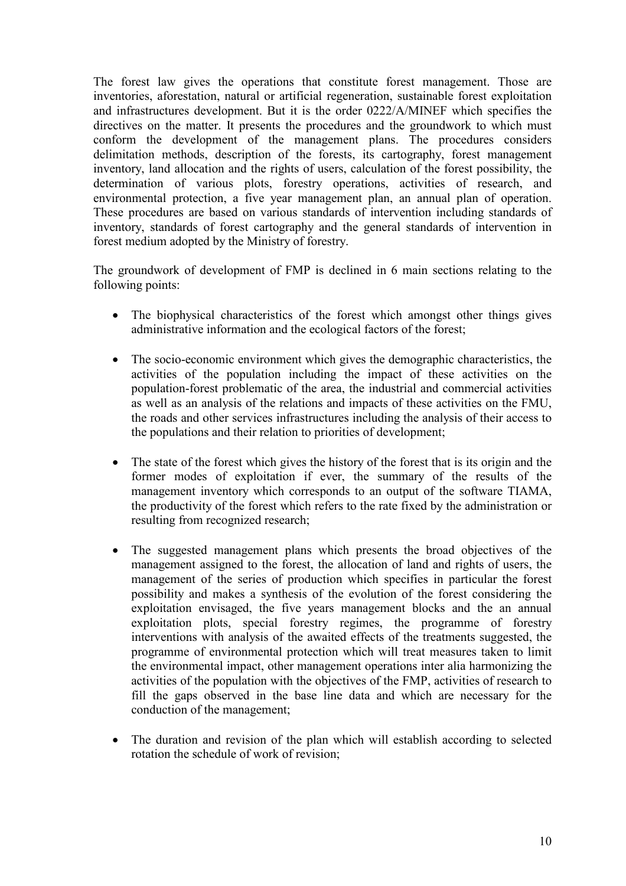The forest law gives the operations that constitute forest management. Those are inventories, aforestation, natural or artificial regeneration, sustainable forest exploitation and infrastructures development. But it is the order 0222/A/MINEF which specifies the directives on the matter. It presents the procedures and the groundwork to which must conform the development of the management plans. The procedures considers delimitation methods, description of the forests, its cartography, forest management inventory, land allocation and the rights of users, calculation of the forest possibility, the determination of various plots, forestry operations, activities of research, and environmental protection, a five year management plan, an annual plan of operation. These procedures are based on various standards of intervention including standards of inventory, standards of forest cartography and the general standards of intervention in forest medium adopted by the Ministry of forestry.

The groundwork of development of FMP is declined in 6 main sections relating to the following points:

- The biophysical characteristics of the forest which amongst other things gives administrative information and the ecological factors of the forest;
- The socio-economic environment which gives the demographic characteristics, the activities of the population including the impact of these activities on the population-forest problematic of the area, the industrial and commercial activities as well as an analysis of the relations and impacts of these activities on the FMU, the roads and other services infrastructures including the analysis of their access to the populations and their relation to priorities of development;
- The state of the forest which gives the history of the forest that is its origin and the former modes of exploitation if ever, the summary of the results of the management inventory which corresponds to an output of the software TIAMA, the productivity of the forest which refers to the rate fixed by the administration or resulting from recognized research;
- The suggested management plans which presents the broad objectives of the management assigned to the forest, the allocation of land and rights of users, the management of the series of production which specifies in particular the forest possibility and makes a synthesis of the evolution of the forest considering the exploitation envisaged, the five years management blocks and the an annual exploitation plots, special forestry regimes, the programme of forestry interventions with analysis of the awaited effects of the treatments suggested, the programme of environmental protection which will treat measures taken to limit the environmental impact, other management operations inter alia harmonizing the activities of the population with the objectives of the FMP, activities of research to fill the gaps observed in the base line data and which are necessary for the conduction of the management;
- The duration and revision of the plan which will establish according to selected rotation the schedule of work of revision;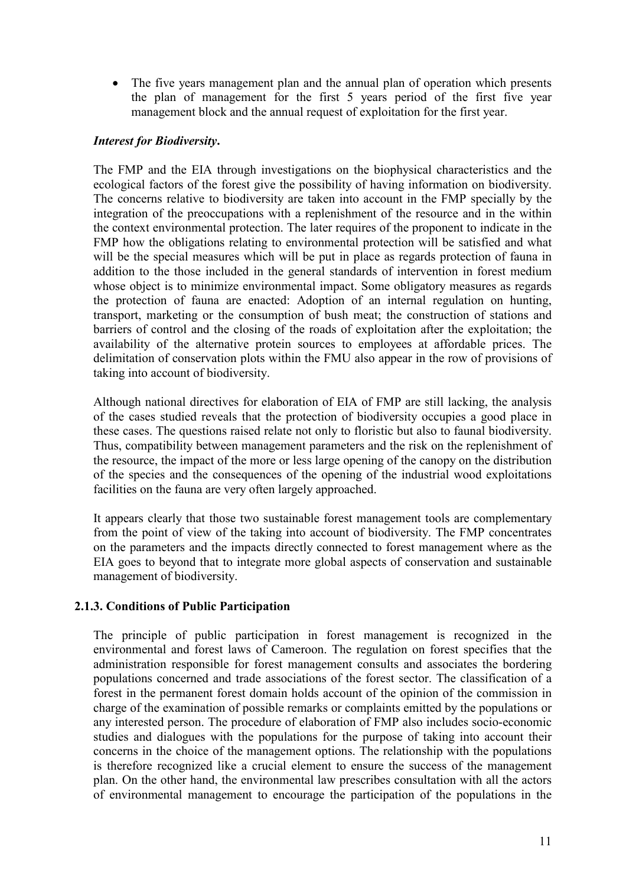• The five years management plan and the annual plan of operation which presents the plan of management for the first 5 years period of the first five year management block and the annual request of exploitation for the first year.

### Interest for Biodiversity.

The FMP and the EIA through investigations on the biophysical characteristics and the ecological factors of the forest give the possibility of having information on biodiversity. The concerns relative to biodiversity are taken into account in the FMP specially by the integration of the preoccupations with a replenishment of the resource and in the within the context environmental protection. The later requires of the proponent to indicate in the FMP how the obligations relating to environmental protection will be satisfied and what will be the special measures which will be put in place as regards protection of fauna in addition to the those included in the general standards of intervention in forest medium whose object is to minimize environmental impact. Some obligatory measures as regards the protection of fauna are enacted: Adoption of an internal regulation on hunting, transport, marketing or the consumption of bush meat; the construction of stations and barriers of control and the closing of the roads of exploitation after the exploitation; the availability of the alternative protein sources to employees at affordable prices. The delimitation of conservation plots within the FMU also appear in the row of provisions of taking into account of biodiversity.

Although national directives for elaboration of EIA of FMP are still lacking, the analysis of the cases studied reveals that the protection of biodiversity occupies a good place in these cases. The questions raised relate not only to floristic but also to faunal biodiversity. Thus, compatibility between management parameters and the risk on the replenishment of the resource, the impact of the more or less large opening of the canopy on the distribution of the species and the consequences of the opening of the industrial wood exploitations facilities on the fauna are very often largely approached.

It appears clearly that those two sustainable forest management tools are complementary from the point of view of the taking into account of biodiversity. The FMP concentrates on the parameters and the impacts directly connected to forest management where as the EIA goes to beyond that to integrate more global aspects of conservation and sustainable management of biodiversity.

### 2.1.3. Conditions of Public Participation

The principle of public participation in forest management is recognized in the environmental and forest laws of Cameroon. The regulation on forest specifies that the administration responsible for forest management consults and associates the bordering populations concerned and trade associations of the forest sector. The classification of a forest in the permanent forest domain holds account of the opinion of the commission in charge of the examination of possible remarks or complaints emitted by the populations or any interested person. The procedure of elaboration of FMP also includes socio-economic studies and dialogues with the populations for the purpose of taking into account their concerns in the choice of the management options. The relationship with the populations is therefore recognized like a crucial element to ensure the success of the management plan. On the other hand, the environmental law prescribes consultation with all the actors of environmental management to encourage the participation of the populations in the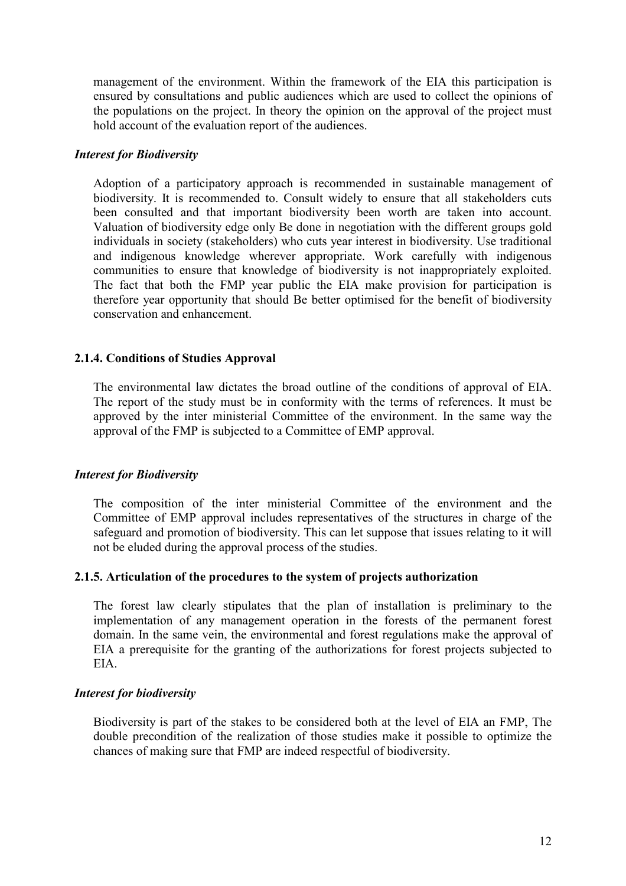management of the environment. Within the framework of the EIA this participation is ensured by consultations and public audiences which are used to collect the opinions of the populations on the project. In theory the opinion on the approval of the project must hold account of the evaluation report of the audiences.

#### Interest for Biodiversity

Adoption of a participatory approach is recommended in sustainable management of biodiversity. It is recommended to. Consult widely to ensure that all stakeholders cuts been consulted and that important biodiversity been worth are taken into account. Valuation of biodiversity edge only Be done in negotiation with the different groups gold individuals in society (stakeholders) who cuts year interest in biodiversity. Use traditional and indigenous knowledge wherever appropriate. Work carefully with indigenous communities to ensure that knowledge of biodiversity is not inappropriately exploited. The fact that both the FMP year public the EIA make provision for participation is therefore year opportunity that should Be better optimised for the benefit of biodiversity conservation and enhancement.

### 2.1.4. Conditions of Studies Approval

The environmental law dictates the broad outline of the conditions of approval of EIA. The report of the study must be in conformity with the terms of references. It must be approved by the inter ministerial Committee of the environment. In the same way the approval of the FMP is subjected to a Committee of EMP approval.

#### Interest for Biodiversity

The composition of the inter ministerial Committee of the environment and the Committee of EMP approval includes representatives of the structures in charge of the safeguard and promotion of biodiversity. This can let suppose that issues relating to it will not be eluded during the approval process of the studies.

#### 2.1.5. Articulation of the procedures to the system of projects authorization

The forest law clearly stipulates that the plan of installation is preliminary to the implementation of any management operation in the forests of the permanent forest domain. In the same vein, the environmental and forest regulations make the approval of EIA a prerequisite for the granting of the authorizations for forest projects subjected to EIA.

#### Interest for biodiversity

Biodiversity is part of the stakes to be considered both at the level of EIA an FMP, The double precondition of the realization of those studies make it possible to optimize the chances of making sure that FMP are indeed respectful of biodiversity.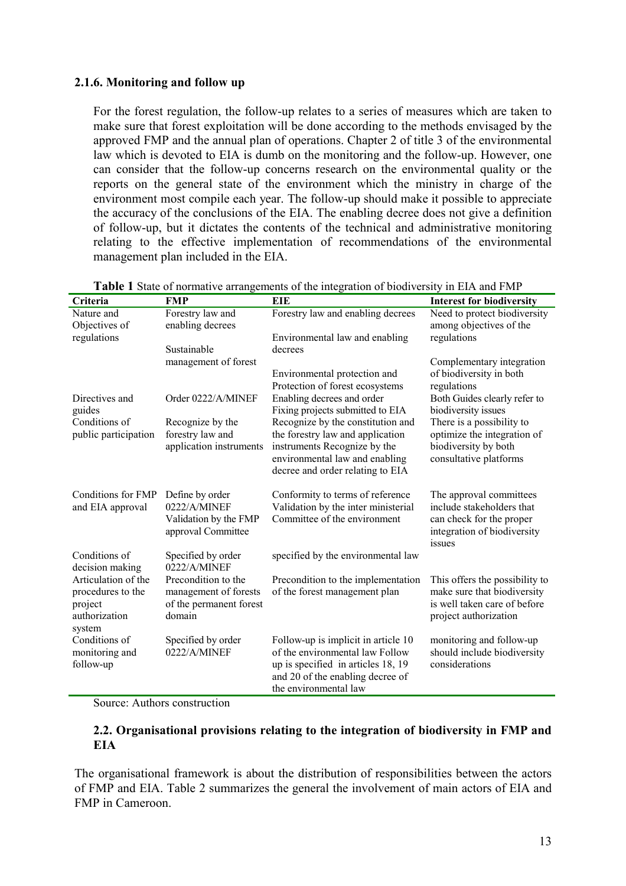### 2.1.6. Monitoring and follow up

For the forest regulation, the follow-up relates to a series of measures which are taken to make sure that forest exploitation will be done according to the methods envisaged by the approved FMP and the annual plan of operations. Chapter 2 of title 3 of the environmental law which is devoted to EIA is dumb on the monitoring and the follow-up. However, one can consider that the follow-up concerns research on the environmental quality or the reports on the general state of the environment which the ministry in charge of the environment most compile each year. The follow-up should make it possible to appreciate the accuracy of the conclusions of the EIA. The enabling decree does not give a definition of follow-up, but it dictates the contents of the technical and administrative monitoring relating to the effective implementation of recommendations of the environmental management plan included in the EIA.

| Criteria                                                                       | <b>FMP</b>                                                                        | <b>EIE</b>                                                                                                                                                                | <b>Interest for biodiversity</b>                                                                                          |
|--------------------------------------------------------------------------------|-----------------------------------------------------------------------------------|---------------------------------------------------------------------------------------------------------------------------------------------------------------------------|---------------------------------------------------------------------------------------------------------------------------|
| Nature and<br>Objectives of                                                    | Forestry law and<br>enabling decrees                                              | Forestry law and enabling decrees                                                                                                                                         | Need to protect biodiversity<br>among objectives of the                                                                   |
| regulations                                                                    |                                                                                   | Environmental law and enabling                                                                                                                                            | regulations                                                                                                               |
|                                                                                | Sustainable<br>management of forest                                               | decrees                                                                                                                                                                   | Complementary integration                                                                                                 |
|                                                                                |                                                                                   | Environmental protection and<br>Protection of forest ecosystems                                                                                                           | of biodiversity in both<br>regulations                                                                                    |
| Directives and<br>guides                                                       | Order 0222/A/MINEF                                                                | Enabling decrees and order<br>Fixing projects submitted to EIA                                                                                                            | Both Guides clearly refer to<br>biodiversity issues                                                                       |
| Conditions of                                                                  | Recognize by the                                                                  | Recognize by the constitution and                                                                                                                                         | There is a possibility to                                                                                                 |
| public participation                                                           | forestry law and<br>application instruments                                       | the forestry law and application<br>instruments Recognize by the<br>environmental law and enabling<br>decree and order relating to EIA                                    | optimize the integration of<br>biodiversity by both<br>consultative platforms                                             |
| Conditions for FMP<br>and EIA approval                                         | Define by order<br>0222/A/MINEF<br>Validation by the FMP<br>approval Committee    | Conformity to terms of reference<br>Validation by the inter ministerial<br>Committee of the environment                                                                   | The approval committees<br>include stakeholders that<br>can check for the proper<br>integration of biodiversity<br>issues |
| Conditions of<br>decision making                                               | Specified by order<br>0222/A/MINEF                                                | specified by the environmental law                                                                                                                                        |                                                                                                                           |
| Articulation of the<br>procedures to the<br>project<br>authorization<br>system | Precondition to the<br>management of forests<br>of the permanent forest<br>domain | Precondition to the implementation<br>of the forest management plan                                                                                                       | This offers the possibility to<br>make sure that biodiversity<br>is well taken care of before<br>project authorization    |
| Conditions of<br>monitoring and<br>follow-up                                   | Specified by order<br>0222/A/MINEF                                                | Follow-up is implicit in article 10<br>of the environmental law Follow<br>up is specified in articles 18, 19<br>and 20 of the enabling decree of<br>the environmental law | monitoring and follow-up<br>should include biodiversity<br>considerations                                                 |

|  | Table 1 State of normative arrangements of the integration of biodiversity in EIA and FMP |  |  |  |  |  |  |
|--|-------------------------------------------------------------------------------------------|--|--|--|--|--|--|
|--|-------------------------------------------------------------------------------------------|--|--|--|--|--|--|

Source: Authors construction

### 2.2. Organisational provisions relating to the integration of biodiversity in FMP and **EIA**

The organisational framework is about the distribution of responsibilities between the actors of FMP and EIA. Table 2 summarizes the general the involvement of main actors of EIA and FMP in Cameroon.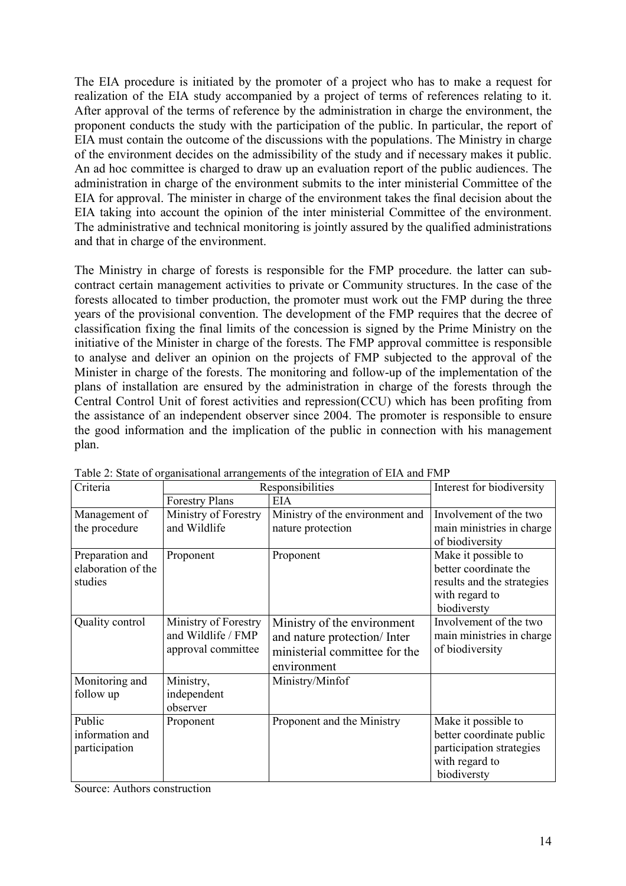The EIA procedure is initiated by the promoter of a project who has to make a request for realization of the EIA study accompanied by a project of terms of references relating to it. After approval of the terms of reference by the administration in charge the environment, the proponent conducts the study with the participation of the public. In particular, the report of EIA must contain the outcome of the discussions with the populations. The Ministry in charge of the environment decides on the admissibility of the study and if necessary makes it public. An ad hoc committee is charged to draw up an evaluation report of the public audiences. The administration in charge of the environment submits to the inter ministerial Committee of the EIA for approval. The minister in charge of the environment takes the final decision about the EIA taking into account the opinion of the inter ministerial Committee of the environment. The administrative and technical monitoring is jointly assured by the qualified administrations and that in charge of the environment.

The Ministry in charge of forests is responsible for the FMP procedure. the latter can subcontract certain management activities to private or Community structures. In the case of the forests allocated to timber production, the promoter must work out the FMP during the three years of the provisional convention. The development of the FMP requires that the decree of classification fixing the final limits of the concession is signed by the Prime Ministry on the initiative of the Minister in charge of the forests. The FMP approval committee is responsible to analyse and deliver an opinion on the projects of FMP subjected to the approval of the Minister in charge of the forests. The monitoring and follow-up of the implementation of the plans of installation are ensured by the administration in charge of the forests through the Central Control Unit of forest activities and repression(CCU) which has been profiting from the assistance of an independent observer since 2004. The promoter is responsible to ensure the good information and the implication of the public in connection with his management plan.

| Criteria                                         | Responsibilities                                                 | Interest for biodiversity                                                                                  |                                                                                                              |
|--------------------------------------------------|------------------------------------------------------------------|------------------------------------------------------------------------------------------------------------|--------------------------------------------------------------------------------------------------------------|
|                                                  | <b>Forestry Plans</b>                                            | EIA                                                                                                        |                                                                                                              |
| Management of<br>the procedure                   | Ministry of Forestry<br>and Wildlife                             | Ministry of the environment and<br>nature protection                                                       | Involvement of the two<br>main ministries in charge<br>of biodiversity                                       |
| Preparation and<br>elaboration of the<br>studies | Proponent                                                        | Proponent                                                                                                  | Make it possible to<br>better coordinate the<br>results and the strategies<br>with regard to<br>biodiversty  |
| Quality control                                  | Ministry of Forestry<br>and Wildlife / FMP<br>approval committee | Ministry of the environment<br>and nature protection/Inter<br>ministerial committee for the<br>environment | Involvement of the two<br>main ministries in charge<br>of biodiversity                                       |
| Monitoring and<br>follow up                      | Ministry,<br>independent<br>observer                             | Ministry/Minfof                                                                                            |                                                                                                              |
| Public<br>information and<br>participation       | Proponent                                                        | Proponent and the Ministry                                                                                 | Make it possible to<br>better coordinate public<br>participation strategies<br>with regard to<br>biodiversty |

Table 2: State of organisational arrangements of the integration of EIA and FMP

Source: Authors construction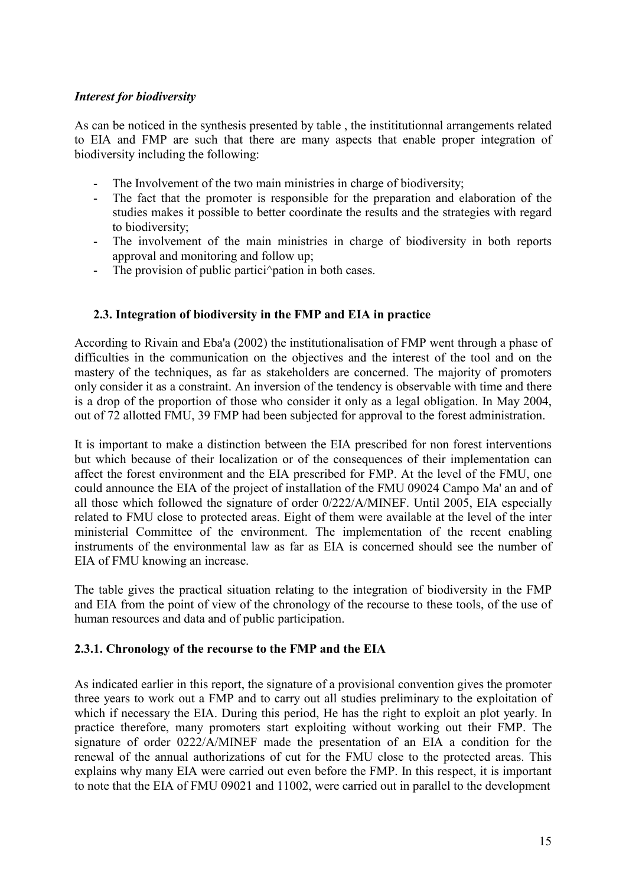### Interest for biodiversity

As can be noticed in the synthesis presented by table , the instititutionnal arrangements related to EIA and FMP are such that there are many aspects that enable proper integration of biodiversity including the following:

- The Involvement of the two main ministries in charge of biodiversity;
- The fact that the promoter is responsible for the preparation and elaboration of the studies makes it possible to better coordinate the results and the strategies with regard to biodiversity;
- The involvement of the main ministries in charge of biodiversity in both reports approval and monitoring and follow up;
- The provision of public partici<sup> $\sim$ </sup> pation in both cases.

### 2.3. Integration of biodiversity in the FMP and EIA in practice

According to Rivain and Eba'a (2002) the institutionalisation of FMP went through a phase of difficulties in the communication on the objectives and the interest of the tool and on the mastery of the techniques, as far as stakeholders are concerned. The majority of promoters only consider it as a constraint. An inversion of the tendency is observable with time and there is a drop of the proportion of those who consider it only as a legal obligation. In May 2004, out of 72 allotted FMU, 39 FMP had been subjected for approval to the forest administration.

It is important to make a distinction between the EIA prescribed for non forest interventions but which because of their localization or of the consequences of their implementation can affect the forest environment and the EIA prescribed for FMP. At the level of the FMU, one could announce the EIA of the project of installation of the FMU 09024 Campo Ma' an and of all those which followed the signature of order 0/222/A/MINEF. Until 2005, EIA especially related to FMU close to protected areas. Eight of them were available at the level of the inter ministerial Committee of the environment. The implementation of the recent enabling instruments of the environmental law as far as EIA is concerned should see the number of EIA of FMU knowing an increase.

The table gives the practical situation relating to the integration of biodiversity in the FMP and EIA from the point of view of the chronology of the recourse to these tools, of the use of human resources and data and of public participation.

#### 2.3.1. Chronology of the recourse to the FMP and the EIA

As indicated earlier in this report, the signature of a provisional convention gives the promoter three years to work out a FMP and to carry out all studies preliminary to the exploitation of which if necessary the EIA. During this period, He has the right to exploit an plot yearly. In practice therefore, many promoters start exploiting without working out their FMP. The signature of order 0222/A/MINEF made the presentation of an EIA a condition for the renewal of the annual authorizations of cut for the FMU close to the protected areas. This explains why many EIA were carried out even before the FMP. In this respect, it is important to note that the EIA of FMU 09021 and 11002, were carried out in parallel to the development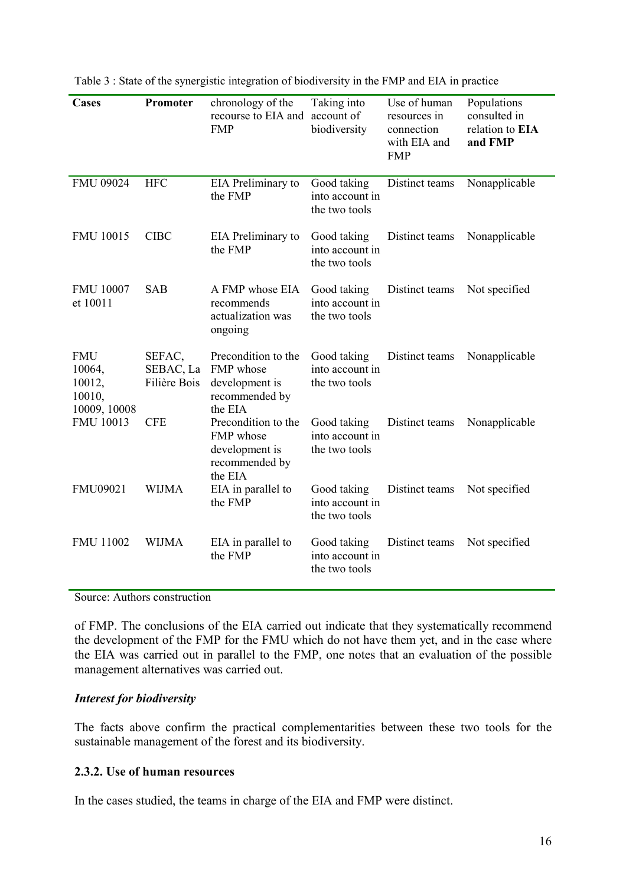| Cases                                             | Promoter                            | chronology of the<br>recourse to EIA and account of<br><b>FMP</b>               | Taking into<br>biodiversity                     | Use of human<br>resources in<br>connection<br>with EIA and<br><b>FMP</b> | Populations<br>consulted in<br>relation to EIA<br>and FMP |
|---------------------------------------------------|-------------------------------------|---------------------------------------------------------------------------------|-------------------------------------------------|--------------------------------------------------------------------------|-----------------------------------------------------------|
| FMU 09024                                         | <b>HFC</b>                          | EIA Preliminary to<br>the FMP                                                   | Good taking<br>into account in<br>the two tools | Distinct teams                                                           | Nonapplicable                                             |
| FMU 10015                                         | <b>CIBC</b>                         | EIA Preliminary to<br>the FMP                                                   | Good taking<br>into account in<br>the two tools | Distinct teams                                                           | Nonapplicable                                             |
| <b>FMU 10007</b><br>et 10011                      | <b>SAB</b>                          | A FMP whose EIA<br>recommends<br>actualization was<br>ongoing                   | Good taking<br>into account in<br>the two tools | Distinct teams                                                           | Not specified                                             |
| FMU<br>10064,<br>10012,<br>10010,<br>10009, 10008 | SEFAC,<br>SEBAC, La<br>Filière Bois | Precondition to the<br>FMP whose<br>development is<br>recommended by<br>the EIA | Good taking<br>into account in<br>the two tools | Distinct teams                                                           | Nonapplicable                                             |
| <b>FMU 10013</b>                                  | <b>CFE</b>                          | Precondition to the<br>FMP whose<br>development is<br>recommended by<br>the EIA | Good taking<br>into account in<br>the two tools | Distinct teams                                                           | Nonapplicable                                             |
| FMU09021                                          | <b>WIJMA</b>                        | EIA in parallel to<br>the FMP                                                   | Good taking<br>into account in<br>the two tools | Distinct teams                                                           | Not specified                                             |
| FMU 11002                                         | <b>WIJMA</b>                        | EIA in parallel to<br>the FMP                                                   | Good taking<br>into account in<br>the two tools | Distinct teams                                                           | Not specified                                             |

Table 3 : State of the synergistic integration of biodiversity in the FMP and EIA in practice

Source: Authors construction

of FMP. The conclusions of the EIA carried out indicate that they systematically recommend the development of the FMP for the FMU which do not have them yet, and in the case where the EIA was carried out in parallel to the FMP, one notes that an evaluation of the possible management alternatives was carried out.

#### Interest for biodiversity

The facts above confirm the practical complementarities between these two tools for the sustainable management of the forest and its biodiversity.

### 2.3.2. Use of human resources

In the cases studied, the teams in charge of the EIA and FMP were distinct.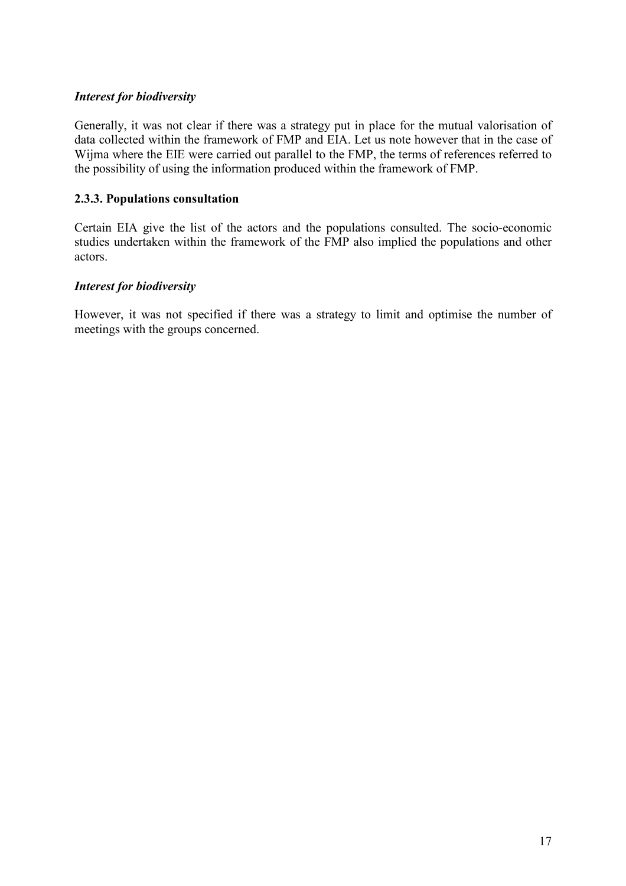### Interest for biodiversity

Generally, it was not clear if there was a strategy put in place for the mutual valorisation of data collected within the framework of FMP and EIA. Let us note however that in the case of Wijma where the EIE were carried out parallel to the FMP, the terms of references referred to the possibility of using the information produced within the framework of FMP.

# 2.3.3. Populations consultation

Certain EIA give the list of the actors and the populations consulted. The socio-economic studies undertaken within the framework of the FMP also implied the populations and other actors.

# Interest for biodiversity

However, it was not specified if there was a strategy to limit and optimise the number of meetings with the groups concerned.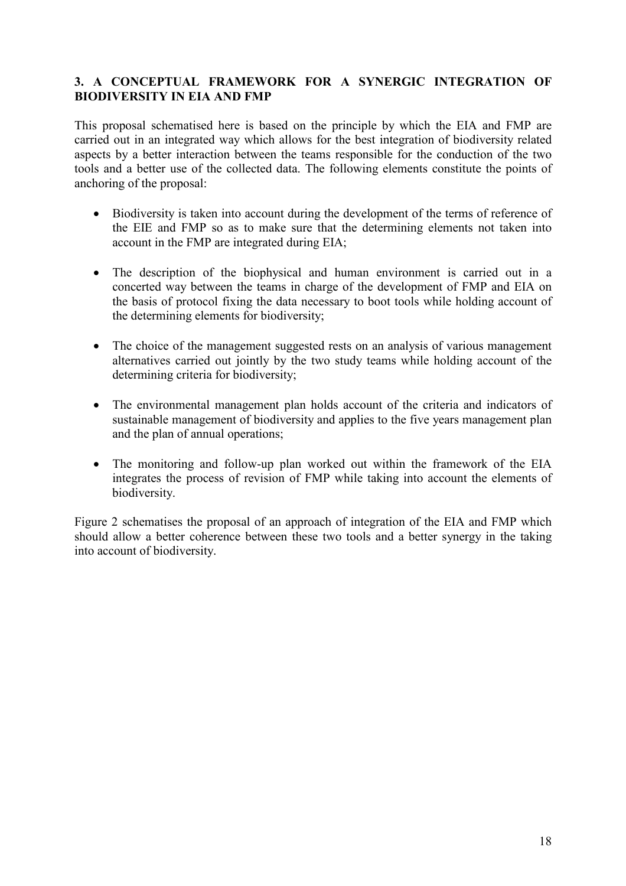# 3. A CONCEPTUAL FRAMEWORK FOR A SYNERGIC INTEGRATION OF BIODIVERSITY IN EIA AND FMP

This proposal schematised here is based on the principle by which the EIA and FMP are carried out in an integrated way which allows for the best integration of biodiversity related aspects by a better interaction between the teams responsible for the conduction of the two tools and a better use of the collected data. The following elements constitute the points of anchoring of the proposal:

- Biodiversity is taken into account during the development of the terms of reference of the EIE and FMP so as to make sure that the determining elements not taken into account in the FMP are integrated during EIA;
- The description of the biophysical and human environment is carried out in a concerted way between the teams in charge of the development of FMP and EIA on the basis of protocol fixing the data necessary to boot tools while holding account of the determining elements for biodiversity;
- The choice of the management suggested rests on an analysis of various management alternatives carried out jointly by the two study teams while holding account of the determining criteria for biodiversity;
- The environmental management plan holds account of the criteria and indicators of sustainable management of biodiversity and applies to the five years management plan and the plan of annual operations;
- The monitoring and follow-up plan worked out within the framework of the EIA integrates the process of revision of FMP while taking into account the elements of biodiversity.

Figure 2 schematises the proposal of an approach of integration of the EIA and FMP which should allow a better coherence between these two tools and a better synergy in the taking into account of biodiversity.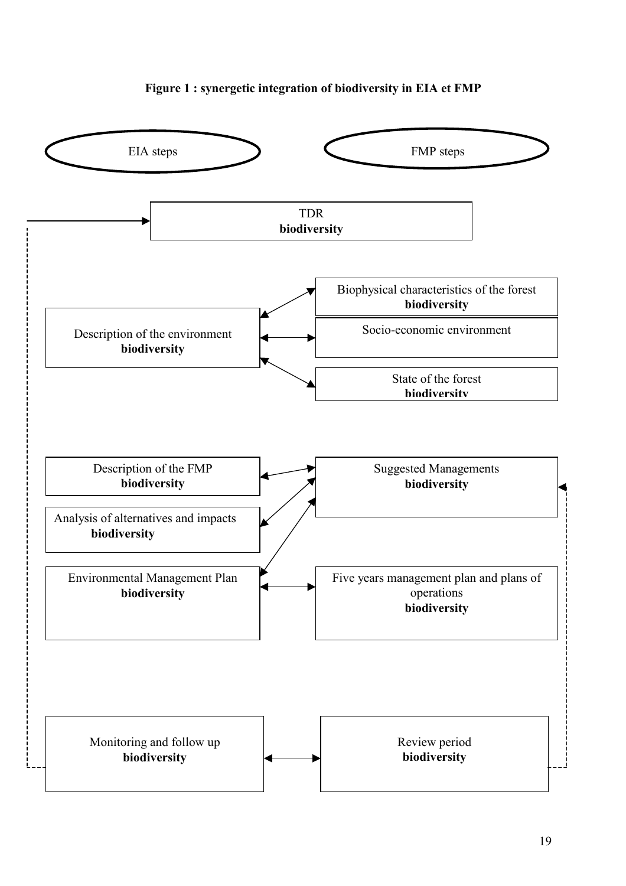

### Figure 1 : synergetic integration of biodiversity in EIA et FMP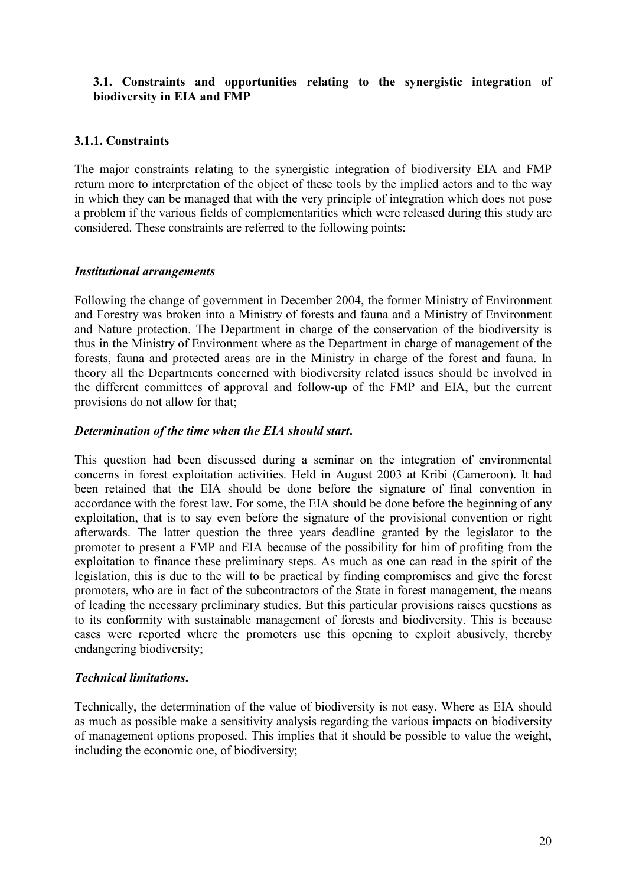## 3.1. Constraints and opportunities relating to the synergistic integration of biodiversity in EIA and FMP

### 3.1.1. Constraints

The major constraints relating to the synergistic integration of biodiversity EIA and FMP return more to interpretation of the object of these tools by the implied actors and to the way in which they can be managed that with the very principle of integration which does not pose a problem if the various fields of complementarities which were released during this study are considered. These constraints are referred to the following points:

### Institutional arrangements

Following the change of government in December 2004, the former Ministry of Environment and Forestry was broken into a Ministry of forests and fauna and a Ministry of Environment and Nature protection. The Department in charge of the conservation of the biodiversity is thus in the Ministry of Environment where as the Department in charge of management of the forests, fauna and protected areas are in the Ministry in charge of the forest and fauna. In theory all the Departments concerned with biodiversity related issues should be involved in the different committees of approval and follow-up of the FMP and EIA, but the current provisions do not allow for that;

### Determination of the time when the EIA should start.

This question had been discussed during a seminar on the integration of environmental concerns in forest exploitation activities. Held in August 2003 at Kribi (Cameroon). It had been retained that the EIA should be done before the signature of final convention in accordance with the forest law. For some, the EIA should be done before the beginning of any exploitation, that is to say even before the signature of the provisional convention or right afterwards. The latter question the three years deadline granted by the legislator to the promoter to present a FMP and EIA because of the possibility for him of profiting from the exploitation to finance these preliminary steps. As much as one can read in the spirit of the legislation, this is due to the will to be practical by finding compromises and give the forest promoters, who are in fact of the subcontractors of the State in forest management, the means of leading the necessary preliminary studies. But this particular provisions raises questions as to its conformity with sustainable management of forests and biodiversity. This is because cases were reported where the promoters use this opening to exploit abusively, thereby endangering biodiversity;

### Technical limitations.

Technically, the determination of the value of biodiversity is not easy. Where as EIA should as much as possible make a sensitivity analysis regarding the various impacts on biodiversity of management options proposed. This implies that it should be possible to value the weight, including the economic one, of biodiversity;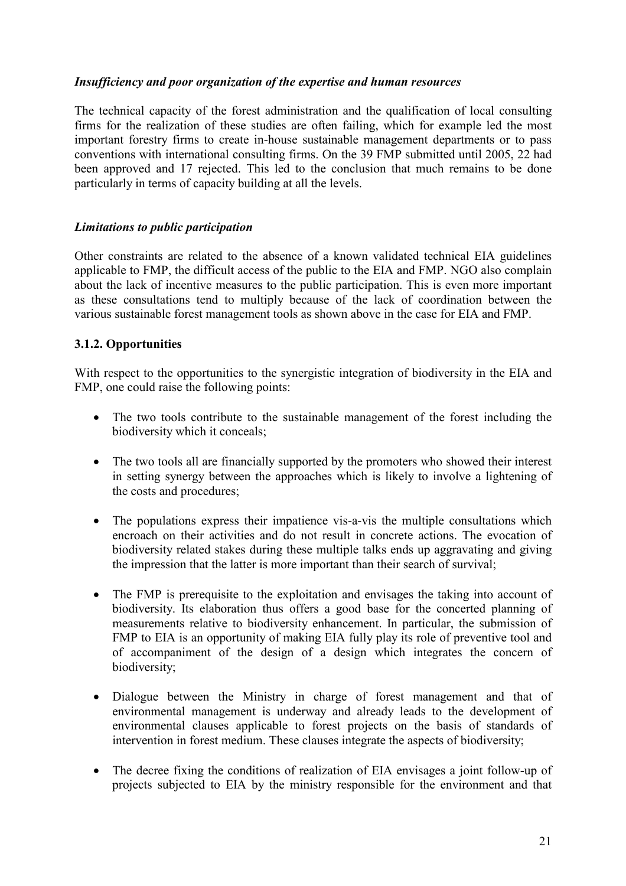### Insufficiency and poor organization of the expertise and human resources

The technical capacity of the forest administration and the qualification of local consulting firms for the realization of these studies are often failing, which for example led the most important forestry firms to create in-house sustainable management departments or to pass conventions with international consulting firms. On the 39 FMP submitted until 2005, 22 had been approved and 17 rejected. This led to the conclusion that much remains to be done particularly in terms of capacity building at all the levels.

### Limitations to public participation

Other constraints are related to the absence of a known validated technical EIA guidelines applicable to FMP, the difficult access of the public to the EIA and FMP. NGO also complain about the lack of incentive measures to the public participation. This is even more important as these consultations tend to multiply because of the lack of coordination between the various sustainable forest management tools as shown above in the case for EIA and FMP.

### 3.1.2. Opportunities

With respect to the opportunities to the synergistic integration of biodiversity in the EIA and FMP, one could raise the following points:

- The two tools contribute to the sustainable management of the forest including the biodiversity which it conceals;
- The two tools all are financially supported by the promoters who showed their interest in setting synergy between the approaches which is likely to involve a lightening of the costs and procedures;
- The populations express their impatience vis-a-vis the multiple consultations which encroach on their activities and do not result in concrete actions. The evocation of biodiversity related stakes during these multiple talks ends up aggravating and giving the impression that the latter is more important than their search of survival;
- The FMP is prerequisite to the exploitation and envisages the taking into account of biodiversity. Its elaboration thus offers a good base for the concerted planning of measurements relative to biodiversity enhancement. In particular, the submission of FMP to EIA is an opportunity of making EIA fully play its role of preventive tool and of accompaniment of the design of a design which integrates the concern of biodiversity;
- Dialogue between the Ministry in charge of forest management and that of environmental management is underway and already leads to the development of environmental clauses applicable to forest projects on the basis of standards of intervention in forest medium. These clauses integrate the aspects of biodiversity;
- The decree fixing the conditions of realization of EIA envisages a joint follow-up of projects subjected to EIA by the ministry responsible for the environment and that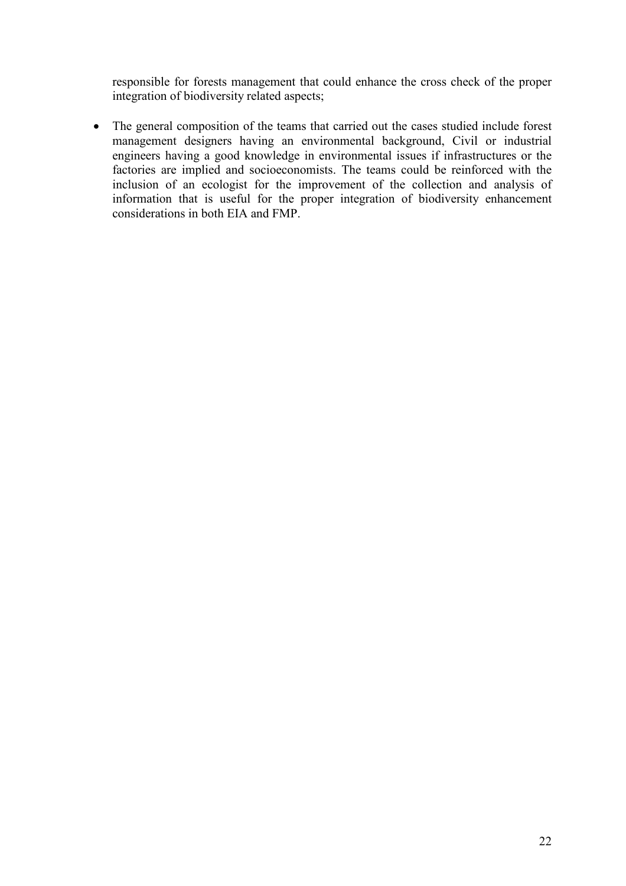responsible for forests management that could enhance the cross check of the proper integration of biodiversity related aspects;

• The general composition of the teams that carried out the cases studied include forest management designers having an environmental background, Civil or industrial engineers having a good knowledge in environmental issues if infrastructures or the factories are implied and socioeconomists. The teams could be reinforced with the inclusion of an ecologist for the improvement of the collection and analysis of information that is useful for the proper integration of biodiversity enhancement considerations in both EIA and FMP.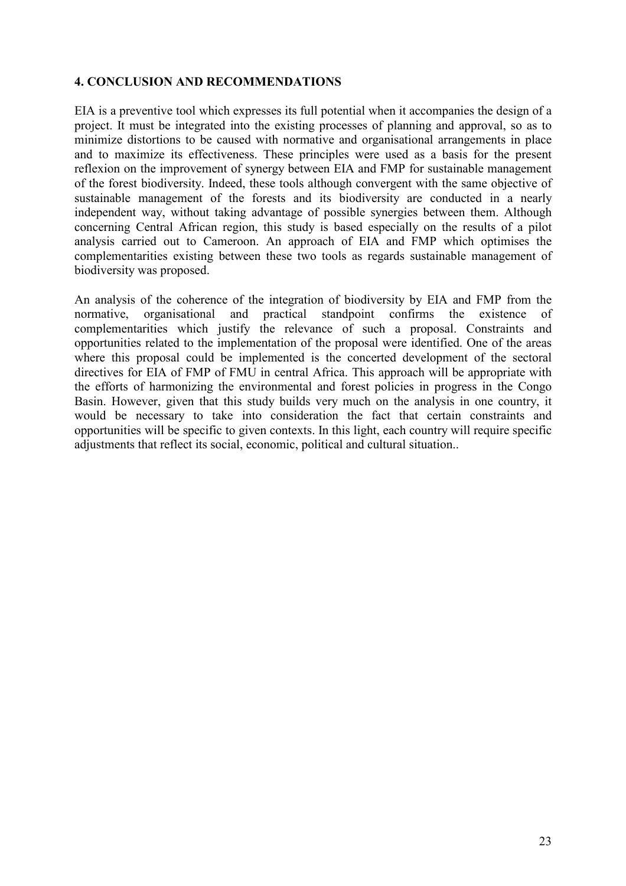### 4. CONCLUSION AND RECOMMENDATIONS

EIA is a preventive tool which expresses its full potential when it accompanies the design of a project. It must be integrated into the existing processes of planning and approval, so as to minimize distortions to be caused with normative and organisational arrangements in place and to maximize its effectiveness. These principles were used as a basis for the present reflexion on the improvement of synergy between EIA and FMP for sustainable management of the forest biodiversity. Indeed, these tools although convergent with the same objective of sustainable management of the forests and its biodiversity are conducted in a nearly independent way, without taking advantage of possible synergies between them. Although concerning Central African region, this study is based especially on the results of a pilot analysis carried out to Cameroon. An approach of EIA and FMP which optimises the complementarities existing between these two tools as regards sustainable management of biodiversity was proposed.

An analysis of the coherence of the integration of biodiversity by EIA and FMP from the normative, organisational and practical standpoint confirms the existence of complementarities which justify the relevance of such a proposal. Constraints and opportunities related to the implementation of the proposal were identified. One of the areas where this proposal could be implemented is the concerted development of the sectoral directives for EIA of FMP of FMU in central Africa. This approach will be appropriate with the efforts of harmonizing the environmental and forest policies in progress in the Congo Basin. However, given that this study builds very much on the analysis in one country, it would be necessary to take into consideration the fact that certain constraints and opportunities will be specific to given contexts. In this light, each country will require specific adjustments that reflect its social, economic, political and cultural situation..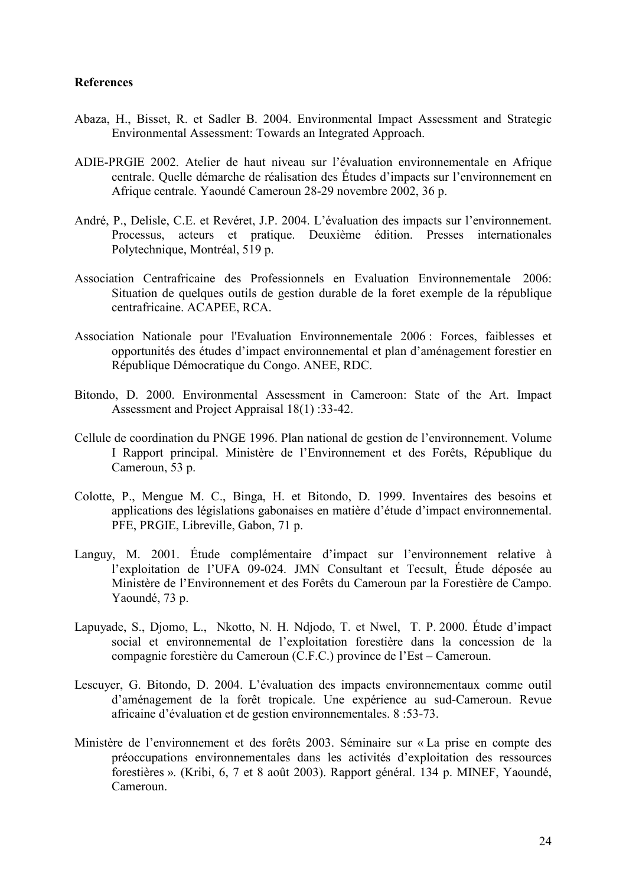#### References

- Abaza, H., Bisset, R. et Sadler B. 2004. Environmental Impact Assessment and Strategic Environmental Assessment: Towards an Integrated Approach.
- ADIE-PRGIE 2002. Atelier de haut niveau sur l'évaluation environnementale en Afrique centrale. Quelle démarche de réalisation des Études d'impacts sur l'environnement en Afrique centrale. Yaoundé Cameroun 28-29 novembre 2002, 36 p.
- André, P., Delisle, C.E. et Revéret, J.P. 2004. L'évaluation des impacts sur l'environnement. Processus, acteurs et pratique. Deuxième édition. Presses internationales Polytechnique, Montréal, 519 p.
- Association Centrafricaine des Professionnels en Evaluation Environnementale 2006: Situation de quelques outils de gestion durable de la foret exemple de la république centrafricaine. ACAPEE, RCA.
- Association Nationale pour l'Evaluation Environnementale 2006 : Forces, faiblesses et opportunités des études d'impact environnemental et plan d'aménagement forestier en République Démocratique du Congo. ANEE, RDC.
- Bitondo, D. 2000. Environmental Assessment in Cameroon: State of the Art. Impact Assessment and Project Appraisal 18(1) :33-42.
- Cellule de coordination du PNGE 1996. Plan national de gestion de l'environnement. Volume I Rapport principal. Ministère de l'Environnement et des Forêts, République du Cameroun, 53 p.
- Colotte, P., Mengue M. C., Binga, H. et Bitondo, D. 1999. Inventaires des besoins et applications des législations gabonaises en matière d'étude d'impact environnemental. PFE, PRGIE, Libreville, Gabon, 71 p.
- Languy, M. 2001. Étude complémentaire d'impact sur l'environnement relative à l'exploitation de l'UFA 09-024. JMN Consultant et Tecsult, Étude déposée au Ministère de l'Environnement et des Forêts du Cameroun par la Forestière de Campo. Yaoundé, 73 p.
- Lapuyade, S., Djomo, L., Nkotto, N. H. Ndjodo, T. et Nwel, T. P. 2000. Étude d'impact social et environnemental de l'exploitation forestière dans la concession de la compagnie forestière du Cameroun (C.F.C.) province de l'Est – Cameroun.
- Lescuyer, G. Bitondo, D. 2004. L'évaluation des impacts environnementaux comme outil d'aménagement de la forêt tropicale. Une expérience au sud-Cameroun. Revue africaine d'évaluation et de gestion environnementales. 8 :53-73.
- Ministère de l'environnement et des forêts 2003. Séminaire sur « La prise en compte des préoccupations environnementales dans les activités d'exploitation des ressources forestières ». (Kribi, 6, 7 et 8 août 2003). Rapport général. 134 p. MINEF, Yaoundé, Cameroun.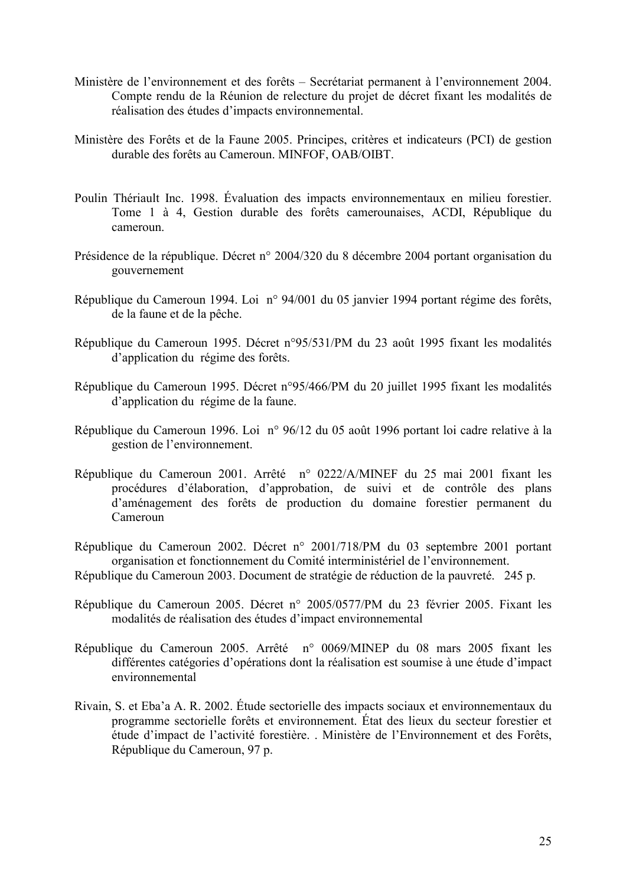- Ministère de l'environnement et des forêts Secrétariat permanent à l'environnement 2004. Compte rendu de la Réunion de relecture du projet de décret fixant les modalités de réalisation des études d'impacts environnemental.
- Ministère des Forêts et de la Faune 2005. Principes, critères et indicateurs (PCI) de gestion durable des forêts au Cameroun. MINFOF, OAB/OIBT.
- Poulin Thériault Inc. 1998. Évaluation des impacts environnementaux en milieu forestier. Tome 1 à 4, Gestion durable des forêts camerounaises, ACDI, République du cameroun.
- Présidence de la république. Décret n° 2004/320 du 8 décembre 2004 portant organisation du gouvernement
- République du Cameroun 1994. Loi n° 94/001 du 05 janvier 1994 portant régime des forêts, de la faune et de la pêche.
- République du Cameroun 1995. Décret n°95/531/PM du 23 août 1995 fixant les modalités d'application du régime des forêts.
- République du Cameroun 1995. Décret n°95/466/PM du 20 juillet 1995 fixant les modalités d'application du régime de la faune.
- République du Cameroun 1996. Loi n° 96/12 du 05 août 1996 portant loi cadre relative à la gestion de l'environnement.
- République du Cameroun 2001. Arrêté n° 0222/A/MINEF du 25 mai 2001 fixant les procédures d'élaboration, d'approbation, de suivi et de contrôle des plans d'aménagement des forêts de production du domaine forestier permanent du Cameroun
- République du Cameroun 2002. Décret n° 2001/718/PM du 03 septembre 2001 portant organisation et fonctionnement du Comité interministériel de l'environnement.
- République du Cameroun 2003. Document de stratégie de réduction de la pauvreté. 245 p.
- République du Cameroun 2005. Décret n° 2005/0577/PM du 23 février 2005. Fixant les modalités de réalisation des études d'impact environnemental
- République du Cameroun 2005. Arrêté n° 0069/MINEP du 08 mars 2005 fixant les différentes catégories d'opérations dont la réalisation est soumise à une étude d'impact environnemental
- Rivain, S. et Eba'a A. R. 2002. Étude sectorielle des impacts sociaux et environnementaux du programme sectorielle forêts et environnement. État des lieux du secteur forestier et étude d'impact de l'activité forestière. . Ministère de l'Environnement et des Forêts, République du Cameroun, 97 p.